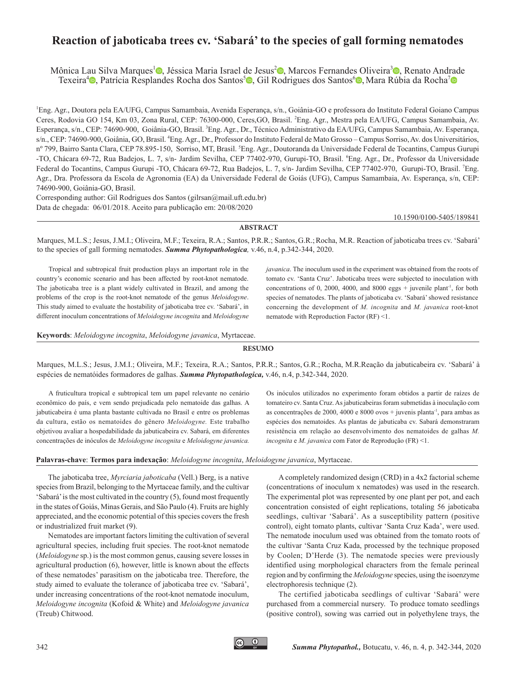# **Reaction of jaboticaba trees cv. 'Sabará' to the species of gall forming nematodes**

Mônica Lau Silva Marques<sup>[1](http://orcid.org/0000-0002-2794-0815)</sup><sup>®</sup>, Jéssica Maria Israel de Jesus<sup>[2](http://orcid.org/0000-0002-8261-9936)</sup>®, Marcos Fernandes Oliveira<sup>[3](http://orcid.org/0000-0002-4171-7492)</sup>®, Renato Andrade Texeira<sup>[4](http://orcid.org/0000-0002-8819-9186)</sup> [,](http://orcid.org/0000-0003-1388-0222) Patrícia Resplandes Rocha dos Santos<sup>5</sup> , Gil Rodrigues dos Santos<sup>[6](http://orcid.org/0000-0002-3830-9463)</sup> , Mara Rúbia da Rocha<sup>[7](http://orcid.org/0000-0002-9995-9734)</sup> o

1 Eng. Agr., Doutora pela EA/UFG, Campus Samambaia, Avenida Esperança, s/n., Goiânia-GO e professora do Instituto Federal Goiano Campus Ceres, Rodovia GO 154, Km 03, Zona Rural, CEP: 76300-000, Ceres, GO, Brasil. <sup>2</sup>Eng. Agr., Mestra pela EA/UFG, Campus Samambaia, Av. Esperança, s/n., CEP: 74690-900, Goiânia-GO, Brasil. <sup>3</sup>Eng. Agr., Dr., Técnico Administrativo da EA/UFG, Campus Samambaia, Av. Esperança, s/n., CEP: 74690-900, Goiânia, GO, Brasil. <sup>4</sup>Eng. Agr., Dr., Professor do Instituto Federal de Mato Grosso – Campus Sorriso, Av. dos Universitários, nº 799, Bairro Santa Clara, CEP 78.895-150, Sorriso, MT, Brasil. <sup>5</sup>Eng. Agr., Doutoranda da Universidade Federal de Tocantins, Campus Gurupi -TO, Chácara 69-72, Rua Badejos, L. 7, s/n- Jardim Sevilha, CEP 77402-970, Gurupi-TO, Brasil. <sup>6</sup>Eng. Agr., Dr., Professor da Universidade Federal do Tocantins, Campus Gurupi -TO, Chácara 69-72, Rua Badejos, L. 7, s/n- Jardim Sevilha, CEP 77402-970, Gurupi-TO, Brasil. <sup>7</sup>Eng. Agr., Dra. Professora da Escola de Agronomia (EA) da Universidade Federal de Goiás (UFG), Campus Samambaia, Av. Esperança, s/n, CEP: 74690-900, Goiânia-GO, Brasil.

Corresponding author: Gil Rodrigues dos Santos ([gilrsan@mail.uft.edu.br](mailto:gilrsan@mail.uft.edu.br)) Data de chegada: 06/01/2018. Aceito para publicação em: 20/08/2020

[10.1590/0100-5405/](http://dx.doi.org/10.1590/0100-5405/216539)189841

### **ABSTRACT**

Marques, M.L.S.; Jesus, J.M.I.; Oliveira, M.F.; Texeira, R.A.; Santos, P.R.R.; Santos,G.R.;Rocha, M.R. Reaction of jaboticaba trees cv. 'Sabará' to the species of gall forming nematodes. *Summa Phytopathologica,* v.46, n.4, p.342-344, 2020.

Tropical and subtropical fruit production plays an important role in the country's economic scenario and has been affected by root-knot nematode. The jaboticaba tree is a plant widely cultivated in Brazil, and among the problems of the crop is the root-knot nematode of the genus *Meloidogyne*. This study aimed to evaluate the hostability of jaboticaba tree cv. 'Sabará', in different inoculum concentrations of *Meloidogyne incognita* and *Meloidogyne* 

*javanica*. The inoculum used in the experiment was obtained from the roots of tomato cv. 'Santa Cruz'. Jaboticaba trees were subjected to inoculation with concentrations of 0, 2000, 4000, and 8000 eggs  $+$  juvenile plant<sup>-1</sup>, for both species of nematodes. The plants of jaboticaba cv. 'Sabará' showed resistance concerning the development of *M. incognita* and *M. javanica* root-knot nematode with Reproduction Factor (RF) <1.

**Keywords**: *Meloidogyne incognita*, *Meloidogyne javanica*, Myrtaceae.

#### **RESUMO**

Marques, M.L.S.; Jesus, J.M.I.; Oliveira, M.F.; Texeira, R.A.; Santos, P.R.R.; Santos, G.R.; Rocha, M.R.Reação da jabuticabeira cv. 'Sabará' à espécies de nematóides formadores de galhas. *Summa Phytopathologica,* v.46, n.4, p.342-344, 2020.

A fruticultura tropical e subtropical tem um papel relevante no cenário econômico do país, e vem sendo prejudicada pelo nematoide das galhas. A jabuticabeira é uma planta bastante cultivada no Brasil e entre os problemas da cultura, estão os nematoides do gênero *Meloidogyne.* Este trabalho objetivou avaliar a hospedabilidade da jabuticabeira cv. Sabará, em diferentes concentrações de inóculos de *Meloidogyne incognita* e *Meloidogyne javanica.*

Os inóculos utilizados no experimento foram obtidos a partir de raízes de tomateiro cv. Santa Cruz. As jabuticabeiras foram submetidas à inoculação com as concentrações de 2000, 4000 e 8000 ovos + juvenis planta-1, para ambas as espécies dos nematoides. As plantas de jabuticaba cv. Sabará demonstraram resistência em relação ao desenvolvimento dos nematoides de galhas *M. incognita* e *M. javanica* com Fator de Reprodução (FR) <1.

#### **Palavras-chave**: **Termos para indexação**: *Meloidogyne incognita*, *Meloidogyne javanica*, Myrtaceae.

The jaboticaba tree, *Myrciaria jaboticaba* (Vell.) Berg, is a native species from Brazil, belonging to the Myrtaceae family, and the cultivar 'Sabará' is the most cultivated in the country (5), found most frequently in the states of Goiás, Minas Gerais, and São Paulo (4). Fruits are highly appreciated, and the economic potential of this species covers the fresh or industrialized fruit market (9).

Nematodes are important factors limiting the cultivation of several agricultural species, including fruit species. The root-knot nematode (*Meloidogyne* sp.) is the most common genus, causing severe losses in agricultural production (6), however, little is known about the effects of these nematodes' parasitism on the jaboticaba tree. Therefore, the study aimed to evaluate the tolerance of jaboticaba tree cv. 'Sabará', under increasing concentrations of the root-knot nematode inoculum, *Meloidogyne incognita* (Kofoid & White) and *Meloidogyne javanica* (Treub) Chitwood.

A completely randomized design (CRD) in a 4x2 factorial scheme (concentrations of inoculum x nematodes) was used in the research. The experimental plot was represented by one plant per pot, and each concentration consisted of eight replications, totaling 56 jaboticaba seedlings, cultivar 'Sabará'. As a susceptibility pattern (positive control), eight tomato plants, cultivar 'Santa Cruz Kada', were used. The nematode inoculum used was obtained from the tomato roots of the cultivar 'Santa Cruz Kada, processed by the technique proposed by Coolen; D'Herde (3). The nematode species were previously identified using morphological characters from the female perineal region and by confirming the *Meloidogyne* species, using the isoenzyme electrophoresis technique (2).

The certified jaboticaba seedlings of cultivar 'Sabará' were purchased from a commercial nursery. To produce tomato seedlings (positive control), sowing was carried out in polyethylene trays, the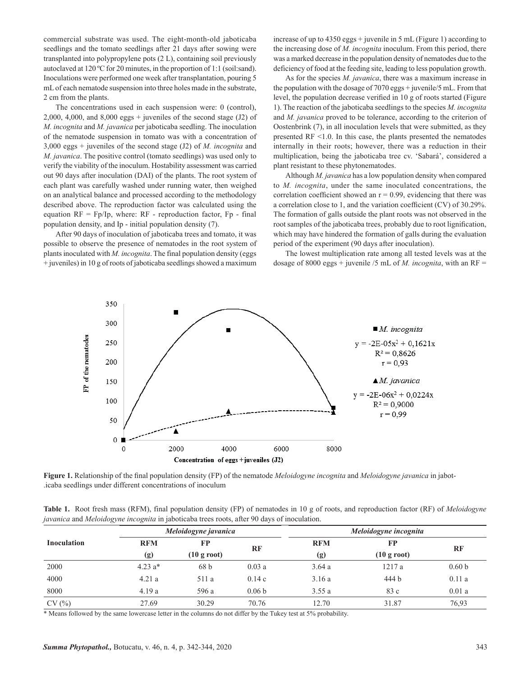commercial substrate was used. The eight-month-old jaboticaba seedlings and the tomato seedlings after 21 days after sowing were transplanted into polypropylene pots (2 L), containing soil previously autoclaved at 120 ºC for 20 minutes, in the proportion of 1:1 (soil:sand). Inoculations were performed one week after transplantation, pouring 5 mL of each nematode suspension into three holes made in the substrate, 2 cm from the plants.

The concentrations used in each suspension were: 0 (control), 2,000, 4,000, and  $8,000$  eggs + juveniles of the second stage (J2) of *M. incognita* and *M. javanica* per jaboticaba seedling. The inoculation of the nematode suspension in tomato was with a concentration of 3,000 eggs + juveniles of the second stage (J2) of *M. incognita* and *M. javanica*. The positive control (tomato seedlings) was used only to verify the viability of the inoculum. Hostability assessment was carried out 90 days after inoculation (DAI) of the plants. The root system of each plant was carefully washed under running water, then weighed on an analytical balance and processed according to the methodology described above. The reproduction factor was calculated using the equation  $RF = Fp/Ip$ , where:  $RF -$  reproduction factor,  $Fp -$  final population density, and Ip - initial population density (7).

After 90 days of inoculation of jaboticaba trees and tomato, it was possible to observe the presence of nematodes in the root system of plants inoculated with *M. incognita*. The final population density (eggs + juveniles) in 10 g of roots of jaboticaba seedlings showed a maximum

increase of up to 4350 eggs + juvenile in 5 mL (Figure 1) according to the increasing dose of *M. incognita* inoculum. From this period, there was a marked decrease in the population density of nematodes due to the deficiency of food at the feeding site, leading to less population growth.

As for the species *M. javanica*, there was a maximum increase in the population with the dosage of 7070 eggs + juvenile/5 mL. From that level, the population decrease verified in 10 g of roots started (Figure 1). The reaction of the jaboticaba seedlings to the species *M. incognita* and *M. javanica* proved to be tolerance, according to the criterion of Oostenbrink (7), in all inoculation levels that were submitted, as they presented RF <1.0. In this case, the plants presented the nematodes internally in their roots; however, there was a reduction in their multiplication, being the jaboticaba tree cv. 'Sabará', considered a plant resistant to these phytonematodes.

Although *M. javanica* has a low population density when compared to *M. incognita*, under the same inoculated concentrations, the correlation coefficient showed an  $r = 0.99$ , evidencing that there was a correlation close to 1, and the variation coefficient (CV) of 30.29%. The formation of galls outside the plant roots was not observed in the root samples of the jaboticaba trees, probably due to root lignification, which may have hindered the formation of galls during the evaluation period of the experiment (90 days after inoculation).

The lowest multiplication rate among all tested levels was at the dosage of 8000 eggs + juvenile /5 mL of *M. incognita*, with an  $RF =$ 



**Figure 1.** Relationship of the final population density (FP) of the nematode *Meloidogyne incognita* and *Meloidogyne javanica* in jabot- .icaba seedlings under different concentrations of inoculum

| Table 1. Root fresh mass (RFM), final population density (FP) of nematodes in 10 g of roots, and reproduction factor (RF) of Meloidogyne |  |  |  |  |  |  |  |
|------------------------------------------------------------------------------------------------------------------------------------------|--|--|--|--|--|--|--|
| javanica and Meloidogyne incognita in jaboticaba trees roots, after 90 days of inoculation.                                              |  |  |  |  |  |  |  |

|                    |            | Meloidogyne javanica  |                   | Meloidogyne incognita |                       |                   |  |  |
|--------------------|------------|-----------------------|-------------------|-----------------------|-----------------------|-------------------|--|--|
| <b>Inoculation</b> | <b>RFM</b> | FP                    | RF                | <b>RFM</b>            | <b>FP</b>             | RF                |  |  |
|                    | (g)        | $(10 \text{ g root})$ |                   | (g)                   | $(10 \text{ g root})$ |                   |  |  |
| 2000               | $4.23 a*$  | 68 b                  | 0.03a             | 3.64a                 | 1217 a                | 0.60 <sub>b</sub> |  |  |
| 4000               | 4.21a      | 511 a                 | 0.14c             | 3.16a                 | 444 b                 | 0.11a             |  |  |
| 8000               | 4.19a      | 596 a                 | 0.06 <sub>b</sub> | 3.55a                 | 83 c                  | 0.01a             |  |  |
| CV(%)              | 27.69      | 30.29                 | 70.76             | 12.70                 | 31.87                 | 76,93             |  |  |

\* Means followed by the same lowercase letter in the columns do not differ by the Tukey test at 5% probability.